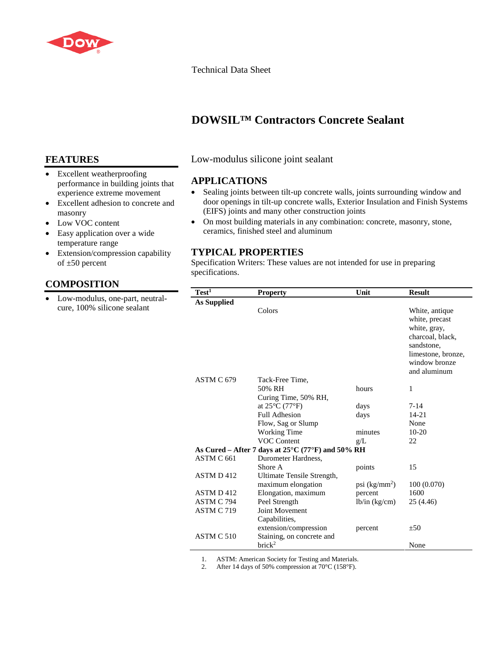

#### Technical Data Sheet

## **DOWSIL™ Contractors Concrete Sealant**

## **FEATURES**

- Excellent weatherproofing performance in building joints that experience extreme movement
- Excellent adhesion to concrete and masonry
- Low VOC content
- Easy application over a wide temperature range
- Extension/compression capability of ±50 percent

## **COMPOSITION**

• Low-modulus, one-part, neutralcure, 100% silicone sealant

Low-modulus silicone joint sealant

## **APPLICATIONS**

- Sealing joints between tilt-up concrete walls, joints surrounding window and door openings in tilt-up concrete walls, Exterior Insulation and Finish Systems (EIFS) joints and many other construction joints
- On most building materials in any combination: concrete, masonry, stone, ceramics, finished steel and aluminum

## **TYPICAL PROPERTIES**

Specification Writers: These values are not intended for use in preparing specifications.

| Test <sup>1</sup>                                           | <b>Property</b>                     | Unit            | <b>Result</b>                                                                                                                             |
|-------------------------------------------------------------|-------------------------------------|-----------------|-------------------------------------------------------------------------------------------------------------------------------------------|
| As Supplied                                                 |                                     |                 |                                                                                                                                           |
|                                                             | Colors                              |                 | White, antique<br>white, precast<br>white, gray,<br>charcoal, black,<br>sandstone,<br>limestone, bronze,<br>window bronze<br>and aluminum |
| ASTM C 679                                                  | Tack-Free Time,                     |                 |                                                                                                                                           |
|                                                             | 50% RH                              | hours           | 1                                                                                                                                         |
|                                                             | Curing Time, 50% RH,                |                 |                                                                                                                                           |
|                                                             | at $25^{\circ}$ C (77 $^{\circ}$ F) | days            | $7 - 14$                                                                                                                                  |
|                                                             | <b>Full Adhesion</b>                | days            | $14 - 21$                                                                                                                                 |
|                                                             | Flow, Sag or Slump                  |                 | None                                                                                                                                      |
|                                                             | <b>Working Time</b>                 | minutes         | $10-20$                                                                                                                                   |
|                                                             | <b>VOC Content</b>                  | g/L             | 22                                                                                                                                        |
| As Cured – After 7 days at $25^{\circ}$ C (77°F) and 50% RH |                                     |                 |                                                                                                                                           |
| ASTM C 661                                                  | Durometer Hardness,                 |                 |                                                                                                                                           |
|                                                             | Shore A                             | points          | 15                                                                                                                                        |
| ASTM D412                                                   | Ultimate Tensile Strength,          |                 |                                                                                                                                           |
|                                                             | maximum elongation                  | psi $(kg/mm^2)$ | 100 (0.070)                                                                                                                               |
| ASTM D412                                                   | Elongation, maximum                 | percent         | 1600                                                                                                                                      |
| ASTM C 794                                                  | Peel Strength                       | lb/in (kg/cm)   | 25(4.46)                                                                                                                                  |
| ASTM C 719                                                  | <b>Joint Movement</b>               |                 |                                                                                                                                           |
|                                                             | Capabilities,                       |                 |                                                                                                                                           |
|                                                             | extension/compression               | percent         | ±50                                                                                                                                       |
| ASTM C 510                                                  | Staining, on concrete and           |                 |                                                                                                                                           |
|                                                             | brick <sup>2</sup>                  |                 | None                                                                                                                                      |

1. ASTM: American Society for Testing and Materials.<br>2. After 14 days of 50% compression at  $70^{\circ}$ C (158°F).

After 14 days of 50% compression at 70°C (158°F).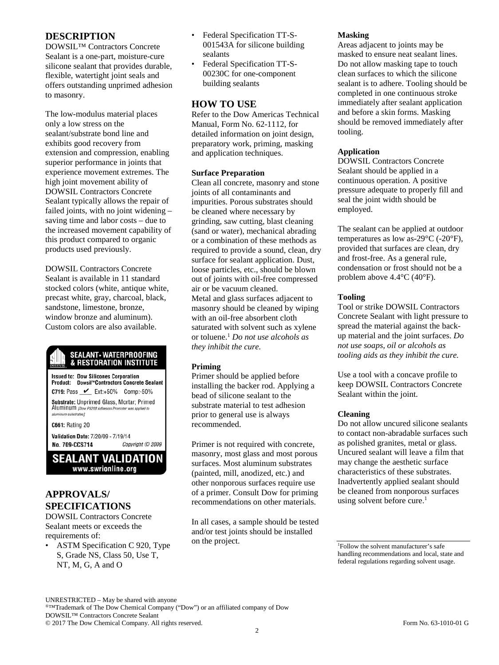## **DESCRIPTION**

DOWSIL™ Contractors Concrete Sealant is a one-part, moisture-cure silicone sealant that provides durable, flexible, watertight joint seals and offers outstanding unprimed adhesion to masonry.

The low-modulus material places only a low stress on the sealant/substrate bond line and exhibits good recovery from extension and compression, enabling superior performance in joints that experience movement extremes. The high joint movement ability of DOWSIL Contractors Concrete Sealant typically allows the repair of failed joints, with no joint widening – saving time and labor costs – due to the increased movement capability of this product compared to organic products used previously.

DOWSIL Contractors Concrete Sealant is available in 11 standard stocked colors (white, antique white, precast white, gray, charcoal, black, sandstone, limestone, bronze, window bronze and aluminum). Custom colors are also available.

# **SEALANT • WATERPROOFING**<br>& RESTORATION INSTITUTE

**Issued to: Dow Silicones Corporation** Product: Dowsil<sup>36</sup>Contractors Concrete Sealant C719: Pass <u>V</u> Ext:+50% Comp:-50% Substrate: Unprimed Glass, Mortar; Primed Aluminum (Dow P5200 Adhesion Promoter was applied to aluminum substrates]

**C661: Rating 20** 

Validation Date: 7/20/09 - 7/19/14 No. 709-CCS714 Copyright © 2009

**SEALANT VALIDATION** www.swrionline.org

## **APPROVALS/ SPECIFICATIONS**

DOWSIL Contractors Concrete Sealant meets or exceeds the requirements of:

• ASTM Specification C 920, Type S, Grade NS, Class 50, Use T, NT, M, G, A and O

- Federal Specification TT-S-001543A for silicone building sealants
- Federal Specification TT-S-00230C for one-component building sealants

## **HOW TO USE**

Refer to the Dow Americas Technical Manual, Form No. 62-1112, for detailed information on joint design, preparatory work, priming, masking and application techniques.

#### **Surface Preparation**

Clean all concrete, masonry and stone joints of all contaminants and impurities. Porous substrates should be cleaned where necessary by grinding, saw cutting, blast cleaning (sand or water), mechanical abrading or a combination of these methods as required to provide a sound, clean, dry surface for sealant application. Dust, loose particles, etc., should be blown out of joints with oil-free compressed air or be vacuum cleaned. Metal and glass surfaces adjacent to masonry should be cleaned by wiping with an oil-free absorbent cloth saturated with solvent such as xylene or toluene.1 *Do not use alcohols as they inhibit the cure.*

#### **Priming**

Primer should be applied before installing the backer rod. Applying a bead of silicone sealant to the substrate material to test adhesion prior to general use is always recommended.

Primer is not required with concrete, masonry, most glass and most porous surfaces. Most aluminum substrates (painted, mill, anodized, etc.) and other nonporous surfaces require use of a primer. Consult Dow for priming recommendations on other materials.

In all cases, a sample should be tested and/or test joints should be installed on the project.

#### **Masking**

Areas adjacent to joints may be masked to ensure neat sealant lines. Do not allow masking tape to touch clean surfaces to which the silicone sealant is to adhere. Tooling should be completed in one continuous stroke immediately after sealant application and before a skin forms. Masking should be removed immediately after tooling.

#### **Application**

DOWSIL Contractors Concrete Sealant should be applied in a continuous operation. A positive pressure adequate to properly fill and seal the joint width should be employed.

The sealant can be applied at outdoor temperatures as low as- $29^{\circ}$ C (- $20^{\circ}$ F), provided that surfaces are clean, dry and frost-free. As a general rule, condensation or frost should not be a problem above 4.4°C (40°F).

#### **Tooling**

Tool or strike DOWSIL Contractors Concrete Sealant with light pressure to spread the material against the backup material and the joint surfaces. *Do not use soaps, oil or alcohols as tooling aids as they inhibit the cure.*

Use a tool with a concave profile to keep DOWSIL Contractors Concrete Sealant within the joint.

#### **Cleaning**

Do not allow uncured silicone sealants to contact non-abradable surfaces such as polished granites, metal or glass. Uncured sealant will leave a film that may change the aesthetic surface characteristics of these substrates. Inadvertently applied sealant should be cleaned from nonporous surfaces using solvent before cure.<sup>1</sup>

1 Follow the solvent manufacturer's safe handling recommendations and local, state and federal regulations regarding solvent usage.

UNRESTRICTED – May be shared with anyone ®™Trademark of The Dow Chemical Company ("Dow") or an affiliated company of Dow DOWSIL™ Contractors Concrete Sealant © 2017 The Dow Chemical Company. All rights reserved. Form No. 63-1010-01 G